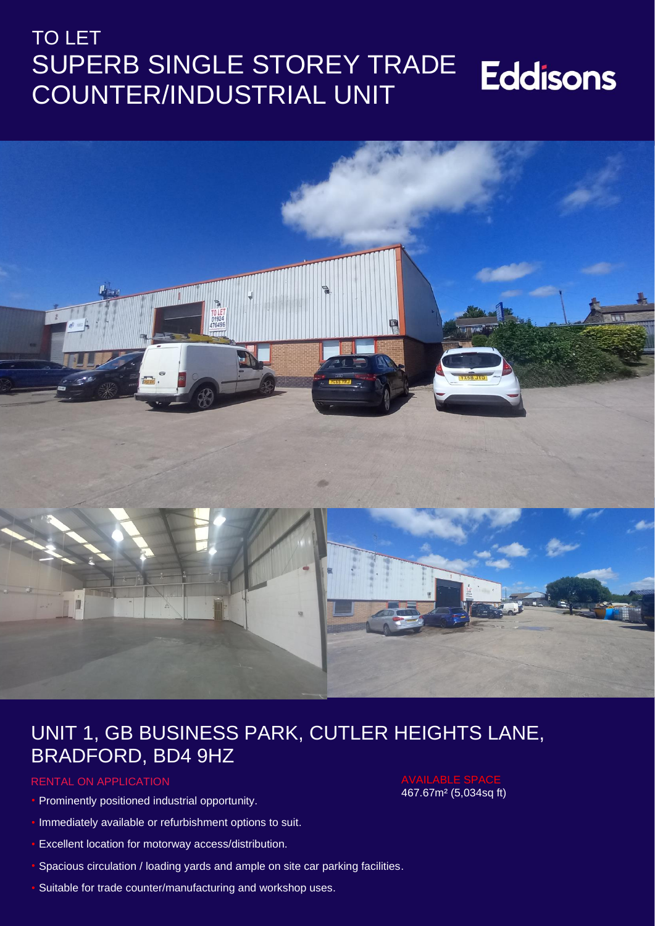## TO LET SUPERB SINGLE STOREY TRADE **Eddisons** COUNTER/INDUSTRIAL UNIT



# UNIT 1, GB BUSINESS PARK, CUTLER HEIGHTS LANE, BRADFORD, BD4 9HZ

#### RENTAL ON APPLICATION

- Prominently positioned industrial opportunity.
- Immediately available or refurbishment options to suit.
- Excellent location for motorway access/distribution.
- Spacious circulation / loading yards and ample on site car parking facilities.
- Suitable for trade counter/manufacturing and workshop uses.

# 467.67m² (5,034sq ft)